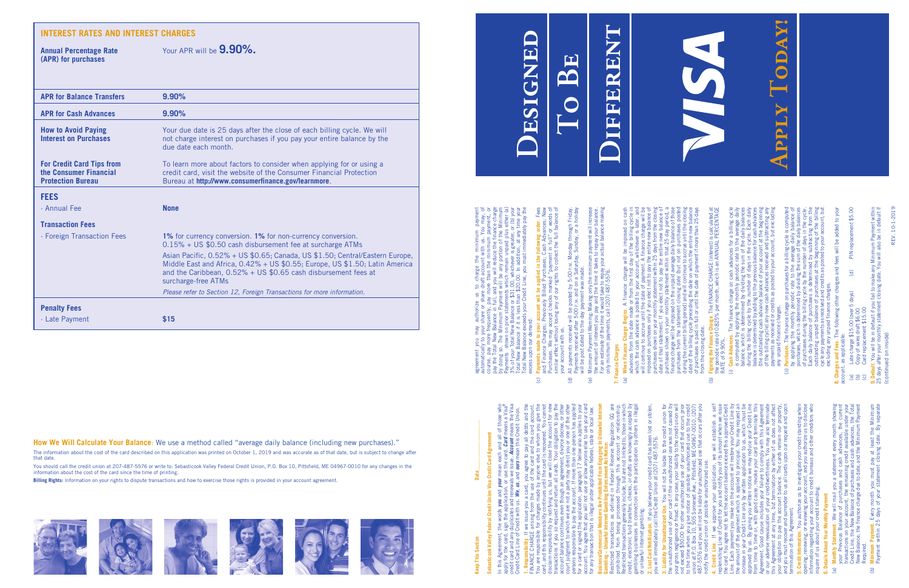## **Sebasticook Valley Federal Credit Union Visa Credit Card Agreement Visa Credit Card Agreen** aderal ok Valley

In this Agreement, the words *you* and *your* mean each and all of those who credit card and any duplicates and renewals we issue. *Account* means the Visa apply for the card, sign the application, or use the card. *Card* means a Visa® Credit Card Line of Credit with us. *We*, *us*, and *ours* mean this Credit Union. of<br>nea  $\frac{1}{2}$ <br>  $\frac{1}{2}$ <br>  $\frac{1}{2}$ <br>  $\frac{1}{2}$ <br>  $\frac{1}{2}$ <br>  $\frac{1}{2}$ <br>  $\frac{1}{2}$ <br>  $\frac{1}{2}$ <br>  $\frac{1}{2}$ <br>  $\frac{1}{2}$ <br>  $\frac{1}{2}$ <br>  $\frac{1}{2}$ <br>  $\frac{1}{2}$ <br>  $\frac{1}{2}$ <br>  $\frac{1}{2}$ <br>  $\frac{1}{2}$ <br>  $\frac{1}{2}$ <br>  $\frac{1}{2}$ <br>  $\frac{1}{2}$ <br>  $\frac{1}{2}$ <br> each and<br>e.card. Ca<br>e. Accou<br>s mean th  $\frac{e}{\pi}$ ours **T**<br>
use<br>
s we i jол you and<br>phication ise, is #  $\frac{1}{2}$   $\frac{1}{2}$   $\frac{1}{2}$   $\frac{1}{2}$   $\frac{1}{2}$   $\frac{1}{2}$   $\frac{1}{2}$   $\frac{1}{2}$   $\frac{1}{2}$   $\frac{1}{2}$   $\frac{1}{2}$   $\frac{1}{2}$   $\frac{1}{2}$   $\frac{1}{2}$   $\frac{1}{2}$   $\frac{1}{2}$   $\frac{1}{2}$   $\frac{1}{2}$   $\frac{1}{2}$   $\frac{1}{2}$   $\frac{1}{2}$   $\frac{1}{2}$ 

**1. Responsibility**. If we issue you a card, you agree to pay all debts and the FINANCE CHARGE arising from the use of the card and the card account. You are responsible for charges made by anyone else to whom you give the card, and this responsibility continues until the card is recovered. You cannot disclaim responsibility by notifying us, but we will close the account for new transactions if you so request and return all cards. Your obligation to pay the account balance continues even though an agreement, divorce decree, or other court judgment to which we are not a party may direct you or one of the other persons responsible to pay the account. If more than one person has applied for a card or signed the application, paragraph 17 below also applies to your account. You agree that you will not use or allow anyone else to use your card **Business/Commercial Members Are Prohibited From Engaging In Unlawful Internet**  for any transaction that is illegal under applicable federal, state or local law. account balance continues even though an agreement, divorce decree, or oth<br>court judgment to which we are not a party may direct you or one of the oth<br>persons responsible to pay the account. If more than one person has app y all debts<br>I the card a<br>whom you<br>covered. You<br>covered. You<br>he account **1. Responsibility**. If we issue you a card, you agree to pay a<br>FINANCE CHARGE arising from the use of the card and th<br>You are responsible for charges made by anyone else to which<br>disclaim responsibility by notifying us, b n respon<br>ions if y<br>balance

prohibited from being processed through this account or relationship. Restricted transactions as defined in Federal Reserve Regulation GG are Restricted transactions generally include, but are not limited to, those in which credit, electronic fund transfers, checks, or drafts are knowingly accepted by gambling businesses in connection with the participation by others in illegal ہ<br>وی **T Notice:**<br>Serve Regulat<br>account or re<br>Imited to, throwingly<br>re knowingly other<br>pation by other  $\approx$ **Gambling – Unlawful Internet Gambling Enforcement Act Notice: g Enforcement Act N**<br>I in Federal Reser<br>through this acc<br>lude, but are not lin<br>ecks, or drafts are<br>with the participat ်<br>rS, chon<br>ction ।<br>इस्रो i conned<br>mbling.<br> ful Internet Gardions<br>actions as de<br>being proce<br>trions general<br>fund transfer<br>te gambling.<br>net gambling. or unlawful Internet gambling. estricted transation<br>cohibited from bei<br>cohibited from bei<br>eredit, electronic function<br>redit, electronic function<br>r unlawful Internet gs.<br>Lost Card Notificatio<br>Ju will immediately ou

the unauthorized use of your card if the unauthorized use was not caused by your gross negligence or fraud. In any case, your liability to the credit union will not exceed \$50.00 for other unauthorized use of your card that occurs prior to the time when you give notice of possible unauthorized use to the credit union at P.O. Box 10, 505 Somerset Ave., Pittsfield, ME 04967-0010, (207) 487-5576 and you will not be liable for unauthorized use that occurs after you notify the credit union of possible unauthorized use.  $\frac{1}{487-5}$ <br>487-5<br>10tify<br>4.  $\frac{1}{2}$  $\frac{1}{2}$  $\frac{1}{2}$  $\frac{1}{2}$  $\frac{1}{2}$  $\frac{1}{2}$  $\frac{1}{2}$  $\frac{1}{2}$  $\frac{1}{2}$ 

3. Liability for Unauthorized Use, You will not be liable to free erection of the unauthorized use of your card if the unauthorized use was not caused by your grass negligence or fraud. In any case, your liability to the **4. Credit Line**. If we approve your application, we will establish a self replenishing Line of Credit for you and notify you of its amount when we issue the card. You agree not to let the account balance exceed this approved Credit Line. Each payment you make on the account will restore your Credit Line by the amount of the payment which is applied to principal. You may request an increase in your Credit Line only by written application to us, which must be approved by us. By giving you written notice we may reduce your Credit Line from time to time or, with good cause, revoke your card and terminate this Agreement. Good cause includes your failure to comply with this Agreement or our adverse reevaluation of your creditworthiness. You may also terminate this Agreement at any time, but termination by either of us does not affect your obligation to pay the account balance. The cards remain our property, and you must recover and surrender to us all cards upon our request and upon termination of this Agreement.

**2. Lost Card Notification**. If you believe your credit card has been lost or stolen, **3. Liability for Unauthorized Use**. You will not be liable to the credit union for tification. If you believe your credit card has been lost or stol<br>liately call the Credit Union at (207) 487-5576. you will immediately call the Credit Union at (207) 487-5576.

- (a) **Monthly Statement**. We will mail you a statement every month showing your Previous Balance of purchases and cash advances, the current transactions on your account, the remaining credit available under your Credit Line, the New Balance of purchases and cash advances, the Total New Balance, the finance charge due to date, and the Minimum Payment es<br>Frag 白<br>七<br>七 id cash advances,<br>and the Minimum ery mont<br>ances, tl<br>*r*ailable statement ever<br>and cash advar<br>aining credit ava purchases and<br>a due to date, a urchas<br>. the I<br>inge du<br>inge du ance<br>chai  $\frac{1}{2}$ <br>  $\frac{1}{2}$ <br>  $\frac{1}{2}$ <br>  $\frac{1}{2}$ <br>  $\frac{1}{2}$ <br>  $\frac{1}{2}$ <br>  $\frac{1}{2}$ <br>  $\frac{1}{2}$ <br>  $\frac{1}{2}$ <br>  $\frac{1}{2}$ <br>  $\frac{1}{2}$ <br>  $\frac{1}{2}$ <br>  $\frac{1}{2}$ <br>  $\frac{1}{2}$ <br>  $\frac{1}{2}$ <br>  $\frac{1}{2}$ <br>  $\frac{1}{2}$ <br>  $\frac{1}{2}$ <br>  $\frac{1}{2}$ <br>  $\frac{1}{2}$ <br> **ment.** We will<br>s Balance of<br>on your accoun<br>the New Balan<br>, the finance cl thly Statemer<br>Previous B<br>sactions on <sub>)</sub><br>it Line, the l<br>Balance, the  $\widehat{a}$
- (b) **Minimum Payment**. Every month you must pay at least the Minimum Payment within 25 days of your statement closing date. By separate nth you must pay at least the Minim<br>your statement closing date. By sepan  $\frac{1}{2}$ Payment. Every<br>within 25 days  $\widehat{B}$

(continued on inside)  $\overline{5}$ 

agreement you may authorize us to charge the minimum payment<br>automatically to your share or share draft account with us. You may, of<br>course, pay more frequently, pay more than the minimum payment, or<br>pay the Total New Bala agreement you may authorize us to charge the minimum payment automatically to your share or share draft account with us. You may, of course, pay more frequently, pay more than the minimum payment, or pay the Total New Balance in full, and you will reduce the finance charge by doing so. The Minimum Payment will be any portion of the Minimum Payments shown on prior statements which remain unpaid plus either (a) 3% of your Total New Balance or \$31.00, whichever is greater, or (b) your Total New Balance if it is less than \$20.00. In addition, at any time your Total New Balance exceeds your Credit Line, you must immediately pay the excess upon our demand.

- (c) **Payments made to your account will be applied in the following order**: Fees and Finance Charges; Previously Billed Purchases; Cash Advances; New Purchases. We may accept checks marked "payment in full" or words of similar effect without losing any of our rights to collect the full balance of Payman spin, and to your account will be applied in the following order. Ference that Find Times are the your account will be applied in the following order. Ferencessary of the prochases. We may accept checks marked "paym your account with us.  $\odot$ 
	- (d) All payments received will be posted by 5:00 p.m. Monday through Friday. Payments received after 5:00 p.m. and on a Saturday, Sunday, or a holiday will be post dated to the day payment was made.  $\widehat{\mathbf{C}}$
	- (e) Minimum Payment Warning: Making only the minimum payment will increase the amount of interest you pay and the time it takes to repay your balance. For an estimate of the time it would take to repay your actual balance making All pyramits received will be posted by 5:00 P.M. Monday through Friday.<br>Payments received after 5:00 P.M. and on a Saturday, Sunday, or a holiday<br>will be post dated to the day payment was made.<br>Winimum Payment Warning: Ma only minimum payments, call (207) 487-5576.  $\Theta$

**5. Credit Information**. You authorize us to investigate your credit standing when opening, renewing, or reviewing your account, and you authorize us to disclose information regarding your account to credit bureaus and other creditors who standing **v**<br>a us to disc<br>creditors on or uns Agreement.<br><mark>information</mark>. You authorize us to investigate your credit st<br>renewing, or reviewing your account, and you authorize<br>on regarding your account to credit bureaus and other<br>f us about your credit standin inquire of us about your credit standing.

### 7. Finance Charges<br>(a) When Finance ( **7. Finance Charges**

## **6. Details About Your Monthly Payment**

- (b) **Figuring the Finance Charge**. The FINANCE CHARGE (interest) is calculated at the periodic rate of 0.825% per month, which is an ANNUAL PERCENTAGE risum and accounts account to the FINANCE CHARGE (interest) is calculated at the periodic rate of 0.825% per month, which is an ANNUAL PERCENTAGE (i) Cash Advances. The finance charge on cash advances for a billing cycle ( RATE of 9.90%.  $\widehat{\Theta}$
- (i) **Cash Advances**. The finance charge on cash advances for a billing cycle is computed by applying the monthly periodic rate to the average daily balance, which is determined by dividing the sum of the daily balances during the billing cycle by the number of days in the cycle. Each daily balance is determined by adding to the previous balance for cash advances (the outstanding cash advance balance of your account at the beginning of the billing cycle) any new cash advances received and subtracting any payments as received or credits as posted to your account, but excluding nees for a billing cycle<br>te to the average daily<br>n of the daily balances<br>n the cycle. Each daily<br>dance for cash advances<br>cocount at the beginning<br>ed and subtracting any<br>account, but excluding sh advance<br>iodic rate<br>the sum c<br>days in the<br>ious balan<br>ious accou LE of  $\approx$  3.90%.<br>
Cash **Advance** by applying the monthly<br>
bis cash advance is determined by adding the monthly<br>
bis case, which is determined by dividual<br>
during the billing cycle by the number<br>
during the billing cycle monthly<br>I by divi<br>e numb<br>e balano<br>e balano any unpaid finance charges.  $B_2$   $B_3$   $B_4$   $B_5$
- (ii) **Purchases**. The finance charge on purchases for a billing cycle is computed by applying the monthly periodic rate to the average daily balance of purchases, which is determined by dividing the sum of the daily balances of purchases during the billing cycle by the number of days in the cycle. Each daily balance of purchases is determined by subtracting from the outstanding unpaid balance of purchases at the beginning of the billing cycle any payments as received and credits as posted to your account, but ive is compare<br>daily balance<br>s in the cyc<br>s in the cyc ing cycle<br>age dail<sub>)</sub><br>of the days<br>of days unning<br>to you . for a billi<br>the avera<br>the sum (<br>ined by s  $9.29$ uic rat<br>Liby die to<br>Cysis de<br>Sis de excluding any unpaid finance charges. **Purchases**<br>by applyin<br>purchases<br>purchases<br>contestandin<br>casternating<br>cycluding<br>excluding  $\widehat{\Xi}$

### **INTEREST RATES AND INTEREST CHARGES**

**Annual Percentage Rate** Your APR will be **9.90%.**

**(APR) for purchases**

**8. Charges and Fees**. The following other charges and fees will be added to your added to you **De** fees will  $and 1$ The following otl account, as applicable: 8. Charge<br>account,

| <b>APR for Balance Transfers</b>                                                       | 9.90%                                                                                                                                                                                                                                                  |
|----------------------------------------------------------------------------------------|--------------------------------------------------------------------------------------------------------------------------------------------------------------------------------------------------------------------------------------------------------|
| <b>APR for Cash Advances</b>                                                           | $9.90\%$                                                                                                                                                                                                                                               |
| <b>How to Avoid Paying</b><br><b>Interest on Purchases</b>                             | Your due date is 25 days after the close of each billing cycle. We will<br>not charge interest on purchases if you pay your entire balance by the<br>due date each month.                                                                              |
| <b>For Credit Card Tips from</b><br>the Consumer Financial<br><b>Protection Bureau</b> | To learn more about factors to consider when applying for or using a<br>credit card, visit the website of the Consumer Financial Protection<br>Bureau at http://www.consumerfinance.gov/learnmore.                                                     |
| <b>FEES</b>                                                                            |                                                                                                                                                                                                                                                        |
| · Annual Fee                                                                           | <b>None</b>                                                                                                                                                                                                                                            |
| <b>Transaction Fees</b>                                                                |                                                                                                                                                                                                                                                        |
| • Foreign Transaction Fees                                                             | 1% for currency conversion. 1% for non-currency conversion.<br>0.15% + US \$0.50 cash disbursement fee at surcharge ATMs                                                                                                                               |
|                                                                                        | Asian Pacific, 0.52% + US \$0.65; Canada, US \$1.50; Central/Eastern Europe,<br>Middle East and Africa, 0.42% + US \$0.55; Europe, US \$1.50; Latin America<br>and the Caribbean, $0.52\% + US $0.65$ cash disbursement fees at<br>surcharge-free ATMs |
|                                                                                        | Please refer to Section 12, Foreign Transactions for more information.                                                                                                                                                                                 |
| <b>Penalty Fees</b>                                                                    |                                                                                                                                                                                                                                                        |
| · Late Payment                                                                         | \$15                                                                                                                                                                                                                                                   |

- ent \$5.00 (a) Late charge \$15.00 (over 5 days) (d) PIN replacement \$5.00 PIN<sub>r</sub>  $\widehat{\sigma}$ e charge \$15.00 (over 5 days)<br>y of sales draft \$6.00<br>d replacement \$15.00  $\overline{\mathcal{C}}$  $\overline{\mathcal{C}}$ 
	- (b) Copy of sales draft \$6.00
	- (c) Card replacement \$15.00

**9. Default**. You will be in default if you fail to make any Minimum Payment within 25 days after your monthly statement closing date. You will also be in default if be in default if you fail to make any Minimum Payment within<br>monthly statement closing date. You will also be in default if t. You<br>after 9. Default.<br>25 days a

## **Apply Today! DAY! PPP**

### REV. 10-1-2019 REV. 10-1-2019

# 

**How We Will Calculate Your Balance**: We use a method called "average daily balance (including new purchases)."

The information about the cost of the card described on this application was printed on October 1, 2019 and was accurate as of that date, but is subject to change after that date.

You should call the credit union at 207-487-5576 or write to: Sebasticook Valley Federal Credit Union, P.O. Box 10, Pittsfield, ME 04967-0010 for any changes in the information about the cost of the card since the time of printing.

**Billing Rights:** Information on your rights to dispute transactions and how to exercise those rights is provided in your account agreement.











**Keep This Section Date\_\_\_\_\_\_\_\_\_\_\_\_\_\_\_\_\_\_\_\_ Keep This Section** 

Date

purchases shown on your monthly statement within that 25 day period, a finance charge will be imposed on the unpaid average daily balance of those purchases from the statement closing date (but not on purchases posted during the current billing period) and will continue to accrue until the closing date of the billing cycle preceding the date on which the entire new balance of purchases is paid in full or until the date of payment if more than 25 days from the closing date.

- (a) **When Finance Charge Begins**. A finance charge will be imposed on cash advances from the date made or from the first day of the billing cycle in which the cash advance is posted to your account, whichever is later, and will continue to accrue until the date of payment. A finance charge will be imposed on purchases only if you elect not to pay the entire new balance of purchases shown on your monthly statement within 25 days from the closing date of that statement. If you elect not to pay the entire new balance of 487-5576.'<br>
mee charge will be imposed on cast<br>
mee charge will be imposed on cast<br>
m the first day of the billing cycle ir<br>
or of payment. A finance charge will be<br>
cet not to pay the entire new balance of<br>
not to pay the a and the second that the second term is the second term of the second term is a when fusion for the date made or from the first day of the microtic properties and the date of payment, which the cash advance is posted to y
- **Different** IFFERENT **To Be**

**Designed**

ESIGNED